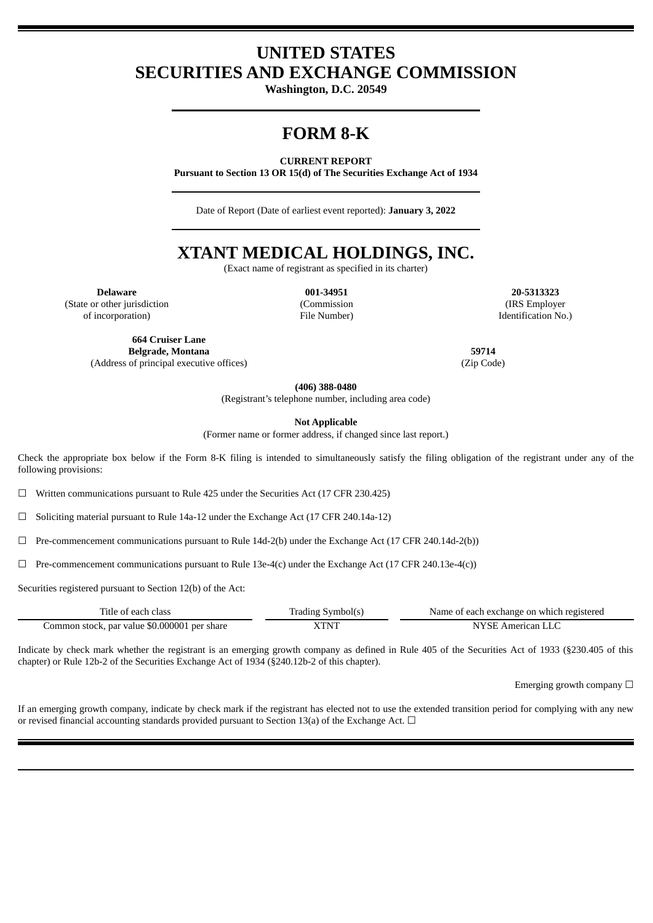# **UNITED STATES SECURITIES AND EXCHANGE COMMISSION**

**Washington, D.C. 20549**

# **FORM 8-K**

**CURRENT REPORT**

**Pursuant to Section 13 OR 15(d) of The Securities Exchange Act of 1934**

Date of Report (Date of earliest event reported): **January 3, 2022**

# **XTANT MEDICAL HOLDINGS, INC.**

(Exact name of registrant as specified in its charter)

(State or other jurisdiction

of incorporation)

(Commission File Number)

**Delaware 001-34951 20-5313323** (IRS Employer Identification No.)

**664 Cruiser Lane Belgrade, Montana 59714**

(Address of principal executive offices) (Zip Code)

**(406) 388-0480**

(Registrant's telephone number, including area code)

**Not Applicable**

(Former name or former address, if changed since last report.)

Check the appropriate box below if the Form 8-K filing is intended to simultaneously satisfy the filing obligation of the registrant under any of the following provisions:

 $\Box$  Written communications pursuant to Rule 425 under the Securities Act (17 CFR 230.425)

 $\Box$  Soliciting material pursuant to Rule 14a-12 under the Exchange Act (17 CFR 240.14a-12)

 $\Box$  Pre-commencement communications pursuant to Rule 14d-2(b) under the Exchange Act (17 CFR 240.14d-2(b))

 $\Box$  Pre-commencement communications pursuant to Rule 13e-4(c) under the Exchange Act (17 CFR 240.13e-4(c))

Securities registered pursuant to Section 12(b) of the Act:

| Lifle of each class                          | . Symbol(s<br>radıng | Name of each exchange on which registered |  |
|----------------------------------------------|----------------------|-------------------------------------------|--|
| Common stock, par value \$0.000001 per share | <b>SZEDATE</b>       | American<br>╲⊦                            |  |

Indicate by check mark whether the registrant is an emerging growth company as defined in Rule 405 of the Securities Act of 1933 (§230.405 of this chapter) or Rule 12b-2 of the Securities Exchange Act of 1934 (§240.12b-2 of this chapter).

Emerging growth company  $\Box$ 

If an emerging growth company, indicate by check mark if the registrant has elected not to use the extended transition period for complying with any new or revised financial accounting standards provided pursuant to Section 13(a) of the Exchange Act.  $\Box$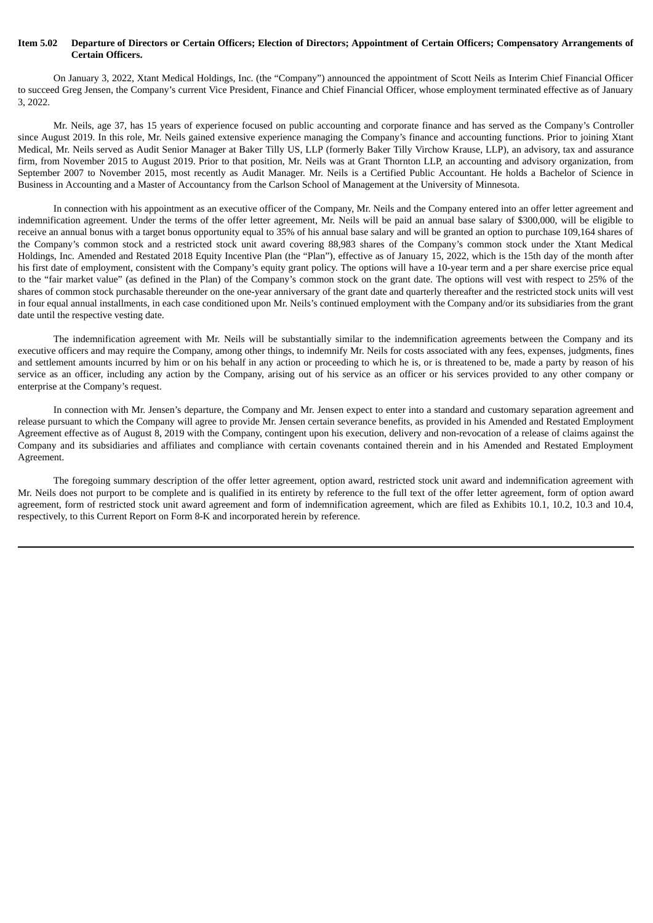### Item 5.02 Departure of Directors or Certain Officers; Election of Directors; Appointment of Certain Officers; Compensatory Arrangements of **Certain Officers.**

On January 3, 2022, Xtant Medical Holdings, Inc. (the "Company") announced the appointment of Scott Neils as Interim Chief Financial Officer to succeed Greg Jensen, the Company's current Vice President, Finance and Chief Financial Officer, whose employment terminated effective as of January 3, 2022.

Mr. Neils, age 37, has 15 years of experience focused on public accounting and corporate finance and has served as the Company's Controller since August 2019. In this role, Mr. Neils gained extensive experience managing the Company's finance and accounting functions. Prior to joining Xtant Medical, Mr. Neils served as Audit Senior Manager at Baker Tilly US, LLP (formerly Baker Tilly Virchow Krause, LLP), an advisory, tax and assurance firm, from November 2015 to August 2019. Prior to that position, Mr. Neils was at Grant Thornton LLP, an accounting and advisory organization, from September 2007 to November 2015, most recently as Audit Manager. Mr. Neils is a Certified Public Accountant. He holds a Bachelor of Science in Business in Accounting and a Master of Accountancy from the Carlson School of Management at the University of Minnesota.

In connection with his appointment as an executive officer of the Company, Mr. Neils and the Company entered into an offer letter agreement and indemnification agreement. Under the terms of the offer letter agreement, Mr. Neils will be paid an annual base salary of \$300,000, will be eligible to receive an annual bonus with a target bonus opportunity equal to 35% of his annual base salary and will be granted an option to purchase 109,164 shares of the Company's common stock and a restricted stock unit award covering 88,983 shares of the Company's common stock under the Xtant Medical Holdings, Inc. Amended and Restated 2018 Equity Incentive Plan (the "Plan"), effective as of January 15, 2022, which is the 15th day of the month after his first date of employment, consistent with the Company's equity grant policy. The options will have a 10-year term and a per share exercise price equal to the "fair market value" (as defined in the Plan) of the Company's common stock on the grant date. The options will vest with respect to 25% of the shares of common stock purchasable thereunder on the one-year anniversary of the grant date and quarterly thereafter and the restricted stock units will vest in four equal annual installments, in each case conditioned upon Mr. Neils's continued employment with the Company and/or its subsidiaries from the grant date until the respective vesting date.

The indemnification agreement with Mr. Neils will be substantially similar to the indemnification agreements between the Company and its executive officers and may require the Company, among other things, to indemnify Mr. Neils for costs associated with any fees, expenses, judgments, fines and settlement amounts incurred by him or on his behalf in any action or proceeding to which he is, or is threatened to be, made a party by reason of his service as an officer, including any action by the Company, arising out of his service as an officer or his services provided to any other company or enterprise at the Company's request.

In connection with Mr. Jensen's departure, the Company and Mr. Jensen expect to enter into a standard and customary separation agreement and release pursuant to which the Company will agree to provide Mr. Jensen certain severance benefits, as provided in his Amended and Restated Employment Agreement effective as of August 8, 2019 with the Company, contingent upon his execution, delivery and non-revocation of a release of claims against the Company and its subsidiaries and affiliates and compliance with certain covenants contained therein and in his Amended and Restated Employment Agreement.

The foregoing summary description of the offer letter agreement, option award, restricted stock unit award and indemnification agreement with Mr. Neils does not purport to be complete and is qualified in its entirety by reference to the full text of the offer letter agreement, form of option award agreement, form of restricted stock unit award agreement and form of indemnification agreement, which are filed as Exhibits 10.1, 10.2, 10.3 and 10.4, respectively, to this Current Report on Form 8-K and incorporated herein by reference.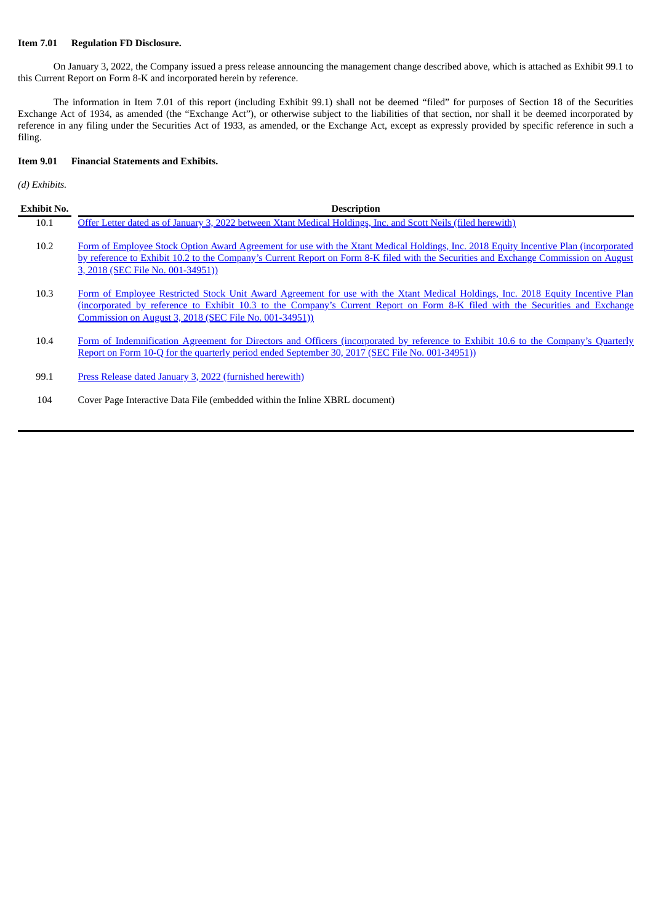# **Item 7.01 Regulation FD Disclosure.**

On January 3, 2022, the Company issued a press release announcing the management change described above, which is attached as Exhibit 99.1 to this Current Report on Form 8-K and incorporated herein by reference.

The information in Item 7.01 of this report (including Exhibit 99.1) shall not be deemed "filed" for purposes of Section 18 of the Securities Exchange Act of 1934, as amended (the "Exchange Act"), or otherwise subject to the liabilities of that section, nor shall it be deemed incorporated by reference in any filing under the Securities Act of 1933, as amended, or the Exchange Act, except as expressly provided by specific reference in such a filing.

# **Item 9.01 Financial Statements and Exhibits.**

*(d) Exhibits.*

| Exhibit No. | <b>Description</b>                                                                                                                                                                                                                                                                                                         |
|-------------|----------------------------------------------------------------------------------------------------------------------------------------------------------------------------------------------------------------------------------------------------------------------------------------------------------------------------|
| 10.1        | Offer Letter dated as of January 3, 2022 between Xtant Medical Holdings, Inc. and Scott Neils (filed herewith)                                                                                                                                                                                                             |
| 10.2        | Form of Employee Stock Option Award Agreement for use with the Xtant Medical Holdings, Inc. 2018 Equity Incentive Plan (incorporated<br>by reference to Exhibit 10.2 to the Company's Current Report on Form 8-K filed with the Securities and Exchange Commission on August<br>3, 2018 (SEC File No. 001-34951))          |
| 10.3        | Form of Employee Restricted Stock Unit Award Agreement for use with the Xtant Medical Holdings, Inc. 2018 Equity Incentive Plan<br>(incorporated by reference to Exhibit 10.3 to the Company's Current Report on Form 8-K filed with the Securities and Exchange<br>Commission on August 3, 2018 (SEC File No. 001-34951)) |
| 10.4        | Form of Indemnification Agreement for Directors and Officers (incorporated by reference to Exhibit 10.6 to the Company's Quarterly<br>Report on Form 10-Q for the quarterly period ended September 30, 2017 (SEC File No. 001-34951))                                                                                      |
| 99.1        | Press Release dated January 3, 2022 (furnished herewith)                                                                                                                                                                                                                                                                   |
| 104         | Cover Page Interactive Data File (embedded within the Inline XBRL document)                                                                                                                                                                                                                                                |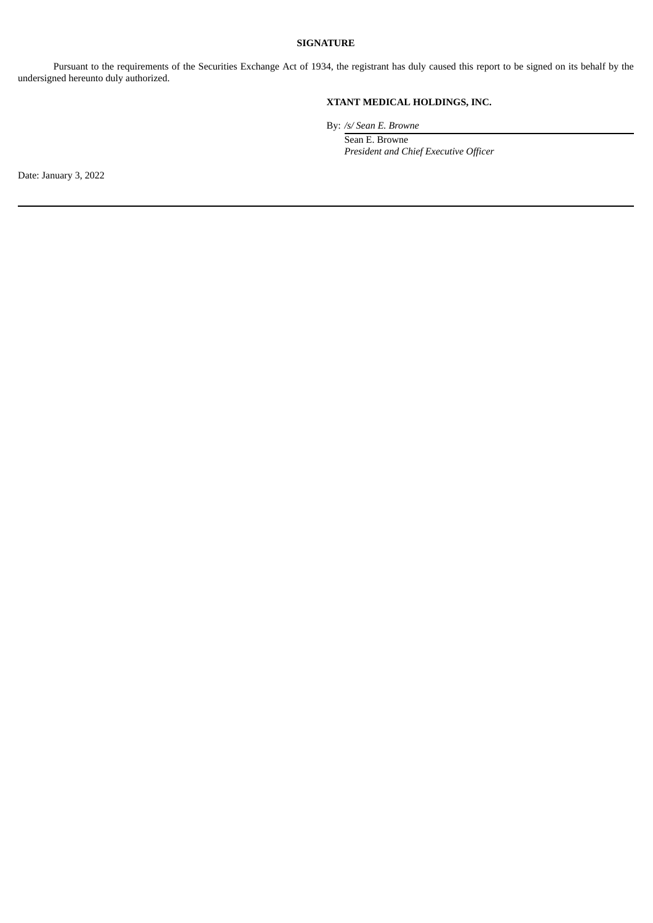# **SIGNATURE**

Pursuant to the requirements of the Securities Exchange Act of 1934, the registrant has duly caused this report to be signed on its behalf by the undersigned hereunto duly authorized.

# **XTANT MEDICAL HOLDINGS, INC.**

By: */s/ Sean E. Browne*

Sean E. Browne *President and Chief Executive Officer*

Date: January 3, 2022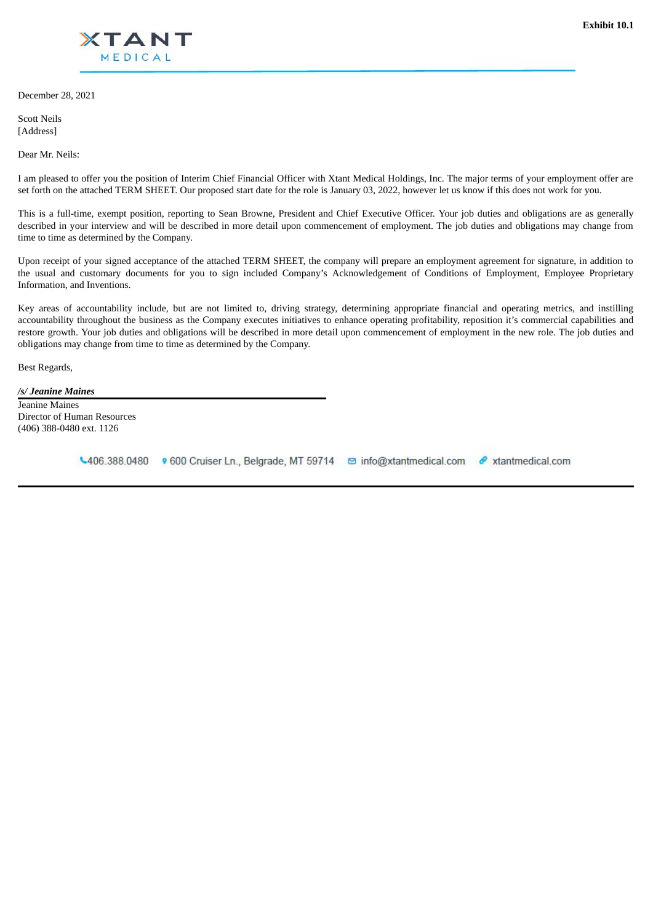<span id="page-4-0"></span>

December 28, 2021

Scott Neils [Address]

Dear Mr. Neils:

I am pleased to offer you the position of Interim Chief Financial Officer with Xtant Medical Holdings, Inc. The major terms of your employment offer are set forth on the attached TERM SHEET. Our proposed start date for the role is January 03, 2022, however let us know if this does not work for you.

This is a full-time, exempt position, reporting to Sean Browne, President and Chief Executive Officer. Your job duties and obligations are as generally described in your interview and will be described in more detail upon commencement of employment. The job duties and obligations may change from time to time as determined by the Company.

Upon receipt of your signed acceptance of the attached TERM SHEET, the company will prepare an employment agreement for signature, in addition to the usual and customary documents for you to sign included Company's Acknowledgement of Conditions of Employment, Employee Proprietary Information, and Inventions.

Key areas of accountability include, but are not limited to, driving strategy, determining appropriate financial and operating metrics, and instilling accountability throughout the business as the Company executes initiatives to enhance operating profitability, reposition it's commercial capabilities and restore growth. Your job duties and obligations will be described in more detail upon commencement of employment in the new role. The job duties and obligations may change from time to time as determined by the Company.

Best Regards,

*/s/ Jeanine Maines* Jeanine Maines Director of Human Resources (406) 388-0480 ext. 1126

↓406.388.0480 • 600 Cruiser Ln., Belgrade, MT 59714 © info@xtantmedical.com & xtantmedical.com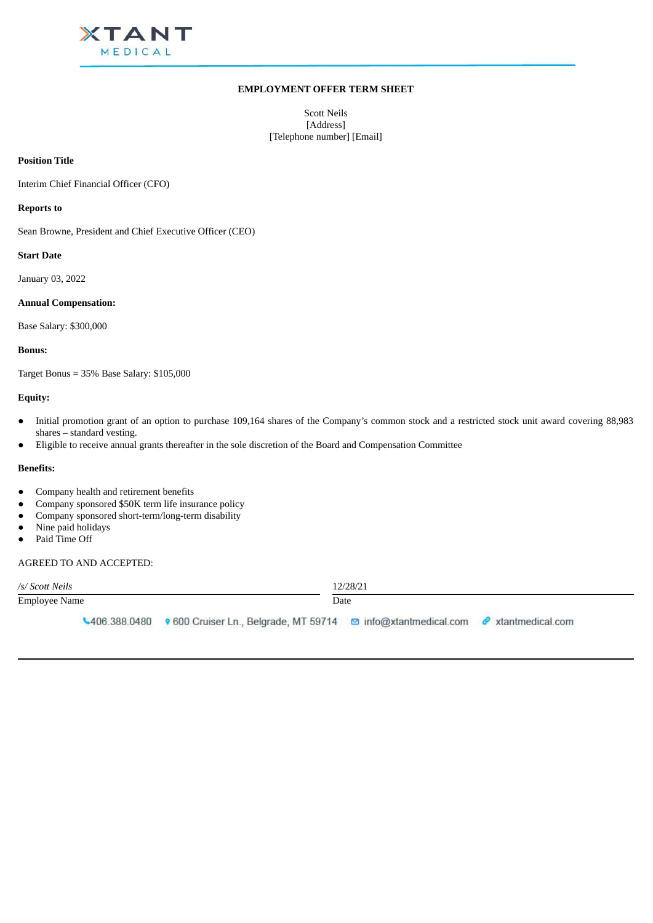

# **EMPLOYMENT OFFER TERM SHEET**

Scott Neils [Address] [Telephone number] [Email]

#### **Position Title**

Interim Chief Financial Officer (CFO)

#### **Reports to**

Sean Browne, President and Chief Executive Officer (CEO)

#### **Start Date**

January 03, 2022

#### **Annual Compensation:**

Base Salary: \$300,000

#### **Bonus:**

Target Bonus = 35% Base Salary: \$105,000

### **Equity:**

- Initial promotion grant of an option to purchase 109,164 shares of the Company's common stock and a restricted stock unit award covering 88,983 shares – standard vesting.
- Eligible to receive annual grants thereafter in the sole discretion of the Board and Compensation Committee

### **Benefits:**

- Company health and retirement benefits
- Company sponsored \$50K term life insurance policy
- Company sponsored short-term/long-term disability
- Nine paid holidays
- Paid Time Off

#### AGREED TO AND ACCEPTED:

| /s/ Scott Neils |  |                                                                                                       | 12/28/21 |  |
|-----------------|--|-------------------------------------------------------------------------------------------------------|----------|--|
| Employee Name   |  |                                                                                                       | Date     |  |
|                 |  | ↓406.388.0480 • 600 Cruiser Ln., Belgrade, MT 59714 © info@xtantmedical.com <i>●</i> xtantmedical.com |          |  |